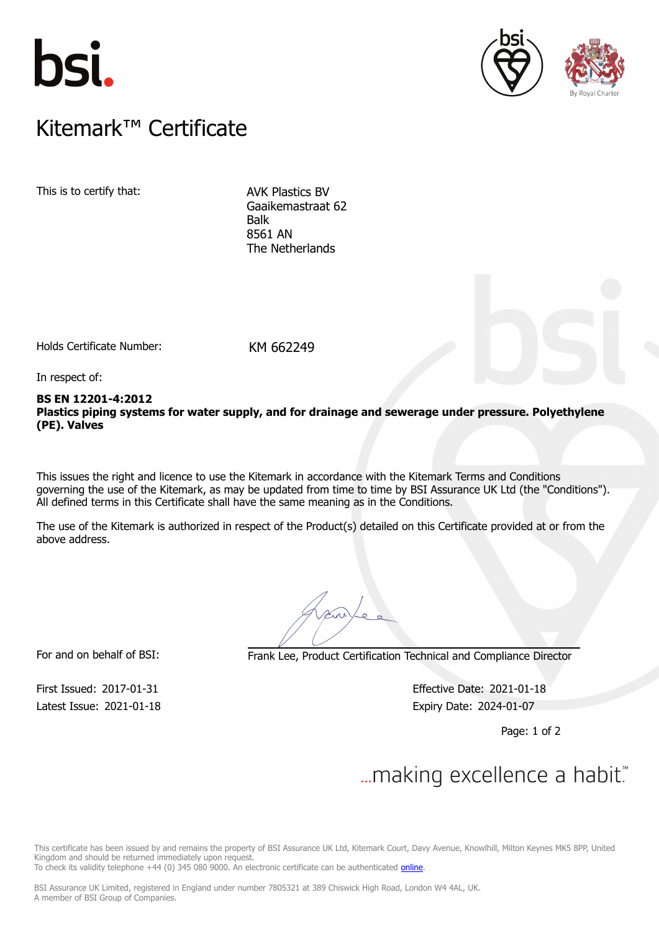





### $K$ itemark $W$  Certificate Kitemark™ Certificate

This is to certify that: AVK Plastics BV

Gaaikemastraat 62 Balk 8561 AN The Netherlands

Holds Certificate Number: KM 662249

In respect of:

### **BS EN 12201-4:2012 Plastics piping systems for water supply, and for drainage and sewerage under pressure. Polyethylene (PE). Valves**

This issues the right and licence to use the Kitemark in accordance with the Kitemark Terms and Conditions governing the use of the Kitemark, as may be updated from time to time by BSI Assurance UK Ltd (the "Conditions"). All defined terms in this Certificate shall have the same meaning as in the Conditions.

The use of the Kitemark is authorized in respect of the Product(s) detailed on this Certificate provided at or from the above address.

For and on behalf of BSI: Frank Lee, Product Certification Technical and Compliance Director

Latest Issue: 2021-01-18 Expiry Date: 2024-01-07

First Issued: 2017-01-31 Effective Date: 2021-01-18

Page: 1 of 2

# $\mathcal{L}$

This certificate has been issued by and remains the property of BSI Assurance UK Ltd, Kitemark Court, Davy Avenue, Knowlhill, Milton Keynes MK5 8PP, United Kingdom and should be returned immediately upon request.

To check its validity telephone +44 (0) 345 080 9000. An electronic certificate can be authenticated *[online](https://pgplus.bsigroup.com/CertificateValidation/CertificateValidator.aspx?CertificateNumber=KM+662249&ReIssueDate=18%2f01%2f2021&Template=uk)*.

BSI Assurance UK Limited, registered in England under number 7805321 at 389 Chiswick High Road, London W4 4AL, UK. A member of BSI Group of Companies.